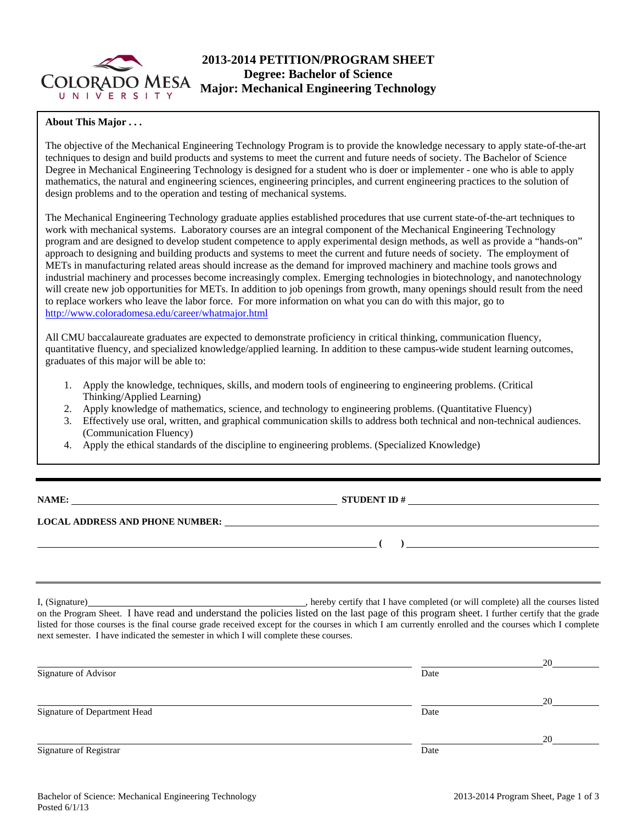

# **2013-2014 PETITION/PROGRAM SHEET Degree: Bachelor of Science Major: Mechanical Engineering Technology**

### **About This Major . . .**

The objective of the Mechanical Engineering Technology Program is to provide the knowledge necessary to apply state-of-the-art techniques to design and build products and systems to meet the current and future needs of society. The Bachelor of Science Degree in Mechanical Engineering Technology is designed for a student who is doer or implementer - one who is able to apply mathematics, the natural and engineering sciences, engineering principles, and current engineering practices to the solution of design problems and to the operation and testing of mechanical systems.

The Mechanical Engineering Technology graduate applies established procedures that use current state-of-the-art techniques to work with mechanical systems. Laboratory courses are an integral component of the Mechanical Engineering Technology program and are designed to develop student competence to apply experimental design methods, as well as provide a "hands-on" approach to designing and building products and systems to meet the current and future needs of society. The employment of METs in manufacturing related areas should increase as the demand for improved machinery and machine tools grows and industrial machinery and processes become increasingly complex. Emerging technologies in biotechnology, and nanotechnology will create new job opportunities for METs. In addition to job openings from growth, many openings should result from the need to replace workers who leave the labor force. For more information on what you can do with this major, go to http://www.coloradomesa.edu/career/whatmajor.html

All CMU baccalaureate graduates are expected to demonstrate proficiency in critical thinking, communication fluency, quantitative fluency, and specialized knowledge/applied learning. In addition to these campus-wide student learning outcomes, graduates of this major will be able to:

- 1. Apply the knowledge, techniques, skills, and modern tools of engineering to engineering problems. (Critical Thinking/Applied Learning)
- 2. Apply knowledge of mathematics, science, and technology to engineering problems. (Quantitative Fluency)
- 3. Effectively use oral, written, and graphical communication skills to address both technical and non-technical audiences. (Communication Fluency)
- 4. Apply the ethical standards of the discipline to engineering problems. (Specialized Knowledge)

| NAME:                                  | <b>STUDENT ID#</b> |
|----------------------------------------|--------------------|
| <b>LOCAL ADDRESS AND PHONE NUMBER:</b> |                    |
|                                        |                    |

I, (Signature) , hereby certify that I have completed (or will complete) all the courses listed on the Program Sheet. I have read and understand the policies listed on the last page of this program sheet. I further certify that the grade listed for those courses is the final course grade received except for the courses in which I am currently enrolled and the courses which I complete next semester. I have indicated the semester in which I will complete these courses.

|                              |      | 20 |
|------------------------------|------|----|
| Signature of Advisor         | Date |    |
|                              |      | 20 |
| Signature of Department Head | Date |    |
|                              |      | 20 |
| Signature of Registrar       | Date |    |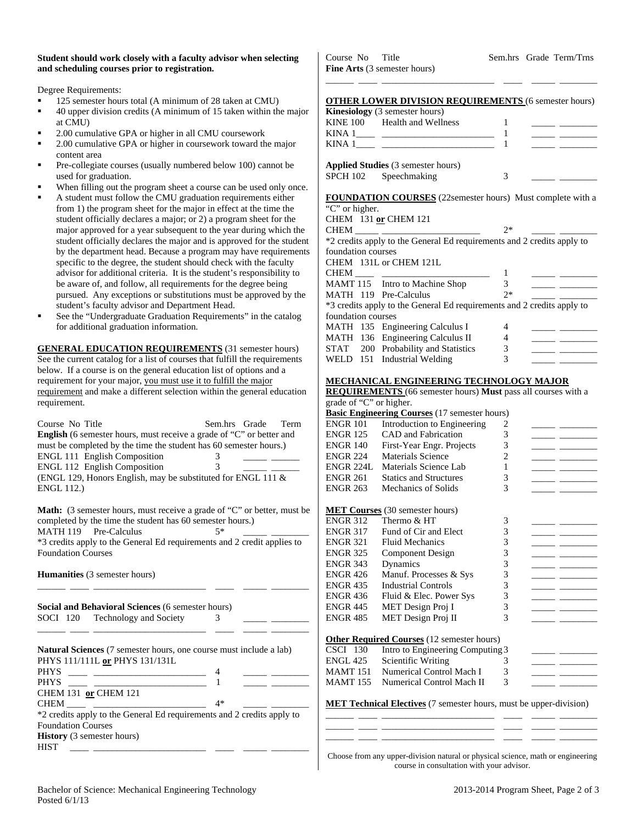| Student should work closely with a faculty advisor when selecting |
|-------------------------------------------------------------------|
| and scheduling courses prior to registration.                     |

Degree Requirements:

- 125 semester hours total (A minimum of 28 taken at CMU)
- 40 upper division credits (A minimum of 15 taken within the major at CMU)
- 2.00 cumulative GPA or higher in all CMU coursework
- 2.00 cumulative GPA or higher in coursework toward the major content area
- Pre-collegiate courses (usually numbered below 100) cannot be used for graduation.
- When filling out the program sheet a course can be used only once.
- A student must follow the CMU graduation requirements either from 1) the program sheet for the major in effect at the time the student officially declares a major; or 2) a program sheet for the major approved for a year subsequent to the year during which the student officially declares the major and is approved for the student by the department head. Because a program may have requirements specific to the degree, the student should check with the faculty advisor for additional criteria. It is the student's responsibility to be aware of, and follow, all requirements for the degree being pursued. Any exceptions or substitutions must be approved by the student's faculty advisor and Department Head.
- See the "Undergraduate Graduation Requirements" in the catalog for additional graduation information.

**GENERAL EDUCATION REQUIREMENTS** (31 semester hours) See the current catalog for a list of courses that fulfill the requirements below. If a course is on the general education list of options and a requirement for your major, you must use it to fulfill the major requirement and make a different selection within the general education requirement.

| Course No Title                                                             |   | Sem.hrs Grade Term |  |
|-----------------------------------------------------------------------------|---|--------------------|--|
| <b>English</b> (6 semester hours, must receive a grade of "C" or better and |   |                    |  |
| must be completed by the time the student has 60 semester hours.)           |   |                    |  |
| <b>ENGL 111 English Composition</b>                                         | 3 |                    |  |
| <b>ENGL 112 English Composition</b>                                         | 3 |                    |  |
| (ENGL 129, Honors English, may be substituted for ENGL 111 $\&$             |   |                    |  |
| <b>ENGL 112.)</b>                                                           |   |                    |  |
|                                                                             |   |                    |  |

**Math:** (3 semester hours, must receive a grade of "C" or better, must be completed by the time the student has 60 semester hours.)

MATH 119 Pre-Calculus 5\* \*3 credits apply to the General Ed requirements and 2 credit applies to

Foundation Courses

**Humanities** (3 semester hours) \_\_\_\_\_\_ \_\_\_\_ \_\_\_\_\_\_\_\_\_\_\_\_\_\_\_\_\_\_\_\_\_\_\_\_ \_\_\_\_ \_\_\_\_\_ \_\_\_\_\_\_\_\_

**Social and Behavioral Sciences** (6 semester hours) SOCI 120 Technology and Society 3

| <b>Natural Sciences</b> (7 semester hours, one course must include a lab) |  |  |  |  |  |
|---------------------------------------------------------------------------|--|--|--|--|--|
| PHYS 111/111L or PHYS 131/131L                                            |  |  |  |  |  |
| <b>PHYS</b>                                                               |  |  |  |  |  |
| <b>PHYS</b>                                                               |  |  |  |  |  |
| <b>CHEM 131 or CHEM 121</b>                                               |  |  |  |  |  |

\_\_\_\_\_\_ \_\_\_\_ \_\_\_\_\_\_\_\_\_\_\_\_\_\_\_\_\_\_\_\_\_\_\_\_ \_\_\_\_ \_\_\_\_\_ \_\_\_\_\_\_\_\_

| 4*<br><b>CHEM</b>                                                      |
|------------------------------------------------------------------------|
| *2 credits apply to the General Ed requirements and 2 credits apply to |
| <b>Foundation Courses</b>                                              |
| <b>History</b> (3 semester hours)                                      |
| <b>HIST</b>                                                            |

Course No Title Sem.hrs Grade Term/Trns **Fine Arts** (3 semester hours)

|          | <b>OTHER LOWER DIVISION REQUIREMENTS (6 semester hours)</b> |  |  |
|----------|-------------------------------------------------------------|--|--|
|          | <b>Kinesiology</b> (3 semester hours)                       |  |  |
| KINE 100 | Health and Wellness                                         |  |  |

\_\_\_\_\_\_ \_\_\_\_ \_\_\_\_\_\_\_\_\_\_\_\_\_\_\_\_\_\_\_\_\_\_\_\_ \_\_\_\_ \_\_\_\_\_ \_\_\_\_\_\_\_\_

| KINA        |                                           |  |
|-------------|-------------------------------------------|--|
| <b>KINA</b> |                                           |  |
|             | <b>Applied Studies</b> (3 semester hours) |  |
|             | SPCH 102 Speechmaking                     |  |

| <b>FOUNDATION COURSES</b> (22semester hours) Must complete with a |  |
|-------------------------------------------------------------------|--|
| "C" or higher.                                                    |  |

|                    | CHEM 131 or CHEM 121                                                   |      |  |
|--------------------|------------------------------------------------------------------------|------|--|
| <b>CHEM</b>        |                                                                        | $2*$ |  |
|                    | *2 credits apply to the General Ed requirements and 2 credits apply to |      |  |
| foundation courses |                                                                        |      |  |
|                    | CHEM 131L or CHEM 121L                                                 |      |  |
| CHEM               |                                                                        |      |  |
|                    | MAMT 115 Intro to Machine Shop                                         | 3    |  |
|                    | MATH 119 Pre-Calculus                                                  | $2*$ |  |
|                    | *3 credits apply to the General Ed requirements and 2 credits apply to |      |  |
| foundation courses |                                                                        |      |  |
|                    | MATH 135 Engineering Calculus I                                        | 4    |  |
|                    | MATH 136 Engineering Calculus II                                       |      |  |
|                    | STAT 200 Probability and Statistics                                    | 3    |  |
|                    | WELD 151 Industrial Welding                                            |      |  |

#### **MECHANICAL ENGINEERING TECHNOLOGY MAJOR**

**REQUIREMENTS** (66 semester hours) **Must** pass all courses with a grade of "C" or higher.

| grade of $C$ or might. |                                                      |   |  |
|------------------------|------------------------------------------------------|---|--|
|                        | <b>Basic Engineering Courses</b> (17 semester hours) |   |  |
| <b>ENGR 101</b>        | Introduction to Engineering                          | 2 |  |
| <b>ENGR 125</b>        | CAD and Fabrication                                  | 3 |  |
| <b>ENGR 140</b>        | First-Year Engr. Projects                            | 3 |  |
| <b>ENGR 224</b>        | Materials Science                                    | 2 |  |
| <b>ENGR 224L</b>       | Materials Science Lab                                | 1 |  |
| <b>ENGR 261</b>        | <b>Statics and Structures</b>                        | 3 |  |
| <b>ENGR 263</b>        | Mechanics of Solids                                  | 3 |  |
|                        |                                                      |   |  |
|                        | <b>MET Courses</b> (30 semester hours)               |   |  |
| <b>ENGR 312</b>        | Thermo & HT                                          | 3 |  |
| <b>ENGR 317</b>        | Fund of Cir and Elect                                | 3 |  |
| <b>ENGR 321</b>        | <b>Fluid Mechanics</b>                               | 3 |  |
| <b>ENGR 325</b>        | Component Design                                     | 3 |  |
| <b>ENGR 343</b>        | Dynamics                                             | 3 |  |
| <b>ENGR 426</b>        | Manuf. Processes & Sys                               | 3 |  |
| <b>ENGR 435</b>        | <b>Industrial Controls</b>                           | 3 |  |
| <b>ENGR 436</b>        | Fluid & Elec. Power Sys                              | 3 |  |
| <b>ENGR 445</b>        | MET Design Proj I                                    | 3 |  |
| <b>ENGR 485</b>        | MET Design Proj II                                   | 3 |  |
|                        |                                                      |   |  |
|                        | <b>Other Required Courses</b> (12 semester hours)    |   |  |
| CSCI 130               | Intro to Engineering Computing 3                     |   |  |
| <b>ENGL 425</b>        | Scientific Writing                                   | 3 |  |

|  | <b>MET Technical Electives</b> (7 semester hours, must be upper-division) |  |  |
|--|---------------------------------------------------------------------------|--|--|
|  |                                                                           |  |  |

MAMT 151 Numerical Control Mach I 3 MAMT 155 Numerical Control Mach II 3

Choose from any upper-division natural or physical science, math or engineering course in consultation with your advisor.

\_\_\_\_\_\_ \_\_\_\_ \_\_\_\_\_\_\_\_\_\_\_\_\_\_\_\_\_\_\_\_\_\_\_\_ \_\_\_\_ \_\_\_\_\_ \_\_\_\_\_\_\_\_ \_\_\_\_\_\_ \_\_\_\_ \_\_\_\_\_\_\_\_\_\_\_\_\_\_\_\_\_\_\_\_\_\_\_\_ \_\_\_\_ \_\_\_\_\_ \_\_\_\_\_\_\_\_